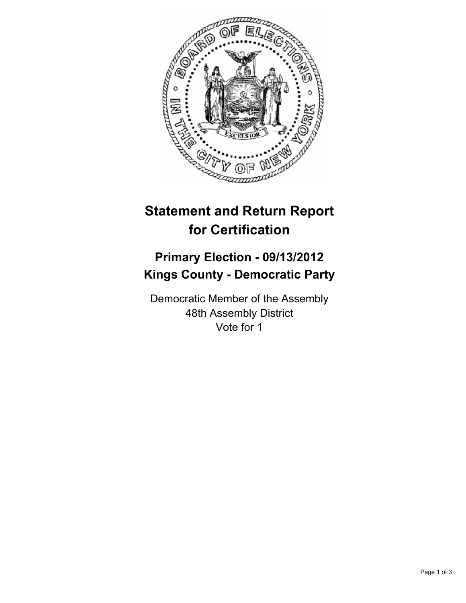

# **Statement and Return Report for Certification**

## **Primary Election - 09/13/2012 Kings County - Democratic Party**

Democratic Member of the Assembly 48th Assembly District Vote for 1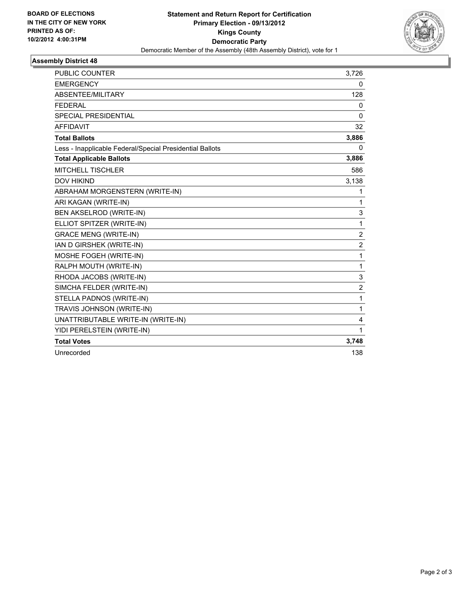

### **Assembly District 48**

| PUBLIC COUNTER                                           | 3,726          |
|----------------------------------------------------------|----------------|
| <b>EMERGENCY</b>                                         | 0              |
| ABSENTEE/MILITARY                                        | 128            |
| <b>FEDERAL</b>                                           | 0              |
| <b>SPECIAL PRESIDENTIAL</b>                              | $\Omega$       |
| <b>AFFIDAVIT</b>                                         | 32             |
| <b>Total Ballots</b>                                     | 3,886          |
| Less - Inapplicable Federal/Special Presidential Ballots | 0              |
| <b>Total Applicable Ballots</b>                          | 3,886          |
| <b>MITCHELL TISCHLER</b>                                 | 586            |
| <b>DOV HIKIND</b>                                        | 3,138          |
| ABRAHAM MORGENSTERN (WRITE-IN)                           | 1              |
| ARI KAGAN (WRITE-IN)                                     | 1              |
| BEN AKSELROD (WRITE-IN)                                  | 3              |
| ELLIOT SPITZER (WRITE-IN)                                | 1              |
| <b>GRACE MENG (WRITE-IN)</b>                             | $\overline{2}$ |
| IAN D GIRSHEK (WRITE-IN)                                 | $\overline{2}$ |
| MOSHE FOGEH (WRITE-IN)                                   | 1              |
| RALPH MOUTH (WRITE-IN)                                   | $\mathbf{1}$   |
| RHODA JACOBS (WRITE-IN)                                  | 3              |
| SIMCHA FELDER (WRITE-IN)                                 | $\overline{2}$ |
| STELLA PADNOS (WRITE-IN)                                 | 1              |
| TRAVIS JOHNSON (WRITE-IN)                                | 1              |
| UNATTRIBUTABLE WRITE-IN (WRITE-IN)                       | 4              |
| YIDI PERELSTEIN (WRITE-IN)                               | 1              |
| <b>Total Votes</b>                                       | 3,748          |
| Unrecorded                                               | 138            |